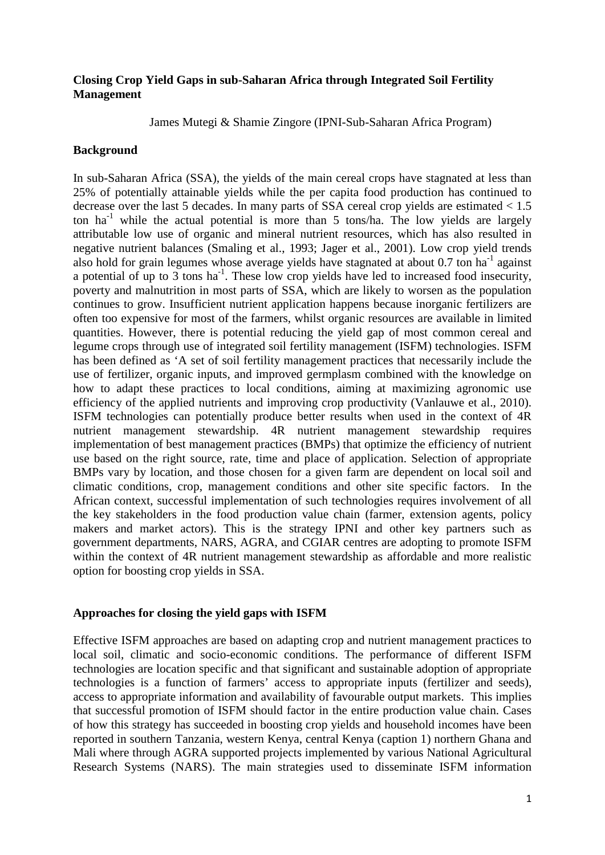### **Closing Crop Yield Gaps in sub-Saharan Africa through Integrated Soil Fertility Management**

James Mutegi & Shamie Zingore (IPNI-Sub-Saharan Africa Program)

### **Background**

In sub-Saharan Africa (SSA), the yields of the main cereal crops have stagnated at less than 25% of potentially attainable yields while the per capita food production has continued to decrease over the last 5 decades. In many parts of SSA cereal crop yields are estimated < 1.5 ton  $ha^{-1}$  while the actual potential is more than 5 tons/ha. The low yields are largely attributable low use of organic and mineral nutrient resources, which has also resulted in negative nutrient balances (Smaling et al., 1993; Jager et al., 2001). Low crop yield trends also hold for grain legumes whose average yields have stagnated at about  $0.7$  ton ha<sup>-1</sup> against a potential of up to  $3$  tons ha<sup>-1</sup>. These low crop yields have led to increased food insecurity, poverty and malnutrition in most parts of SSA, which are likely to worsen as the population continues to grow. Insufficient nutrient application happens because inorganic fertilizers are often too expensive for most of the farmers, whilst organic resources are available in limited quantities. However, there is potential reducing the yield gap of most common cereal and legume crops through use of integrated soil fertility management (ISFM) technologies. ISFM has been defined as 'A set of soil fertility management practices that necessarily include the use of fertilizer, organic inputs, and improved germplasm combined with the knowledge on how to adapt these practices to local conditions, aiming at maximizing agronomic use efficiency of the applied nutrients and improving crop productivity (Vanlauwe et al., 2010). ISFM technologies can potentially produce better results when used in the context of 4R nutrient management stewardship. 4R nutrient management stewardship requires implementation of best management practices (BMPs) that optimize the efficiency of nutrient use based on the right source, rate, time and place of application. Selection of appropriate BMPs vary by location, and those chosen for a given farm are dependent on local soil and climatic conditions, crop, management conditions and other site specific factors. In the African context, successful implementation of such technologies requires involvement of all the key stakeholders in the food production value chain (farmer, extension agents, policy makers and market actors). This is the strategy IPNI and other key partners such as government departments, NARS, AGRA, and CGIAR centres are adopting to promote ISFM within the context of 4R nutrient management stewardship as affordable and more realistic option for boosting crop yields in SSA.

### **Approaches for closing the yield gaps with ISFM**

Effective ISFM approaches are based on adapting crop and nutrient management practices to local soil, climatic and socio-economic conditions. The performance of different ISFM technologies are location specific and that significant and sustainable adoption of appropriate technologies is a function of farmers' access to appropriate inputs (fertilizer and seeds), access to appropriate information and availability of favourable output markets. This implies that successful promotion of ISFM should factor in the entire production value chain. Cases of how this strategy has succeeded in boosting crop yields and household incomes have been reported in southern Tanzania, western Kenya, central Kenya (caption 1) northern Ghana and Mali where through AGRA supported projects implemented by various National Agricultural Research Systems (NARS). The main strategies used to disseminate ISFM information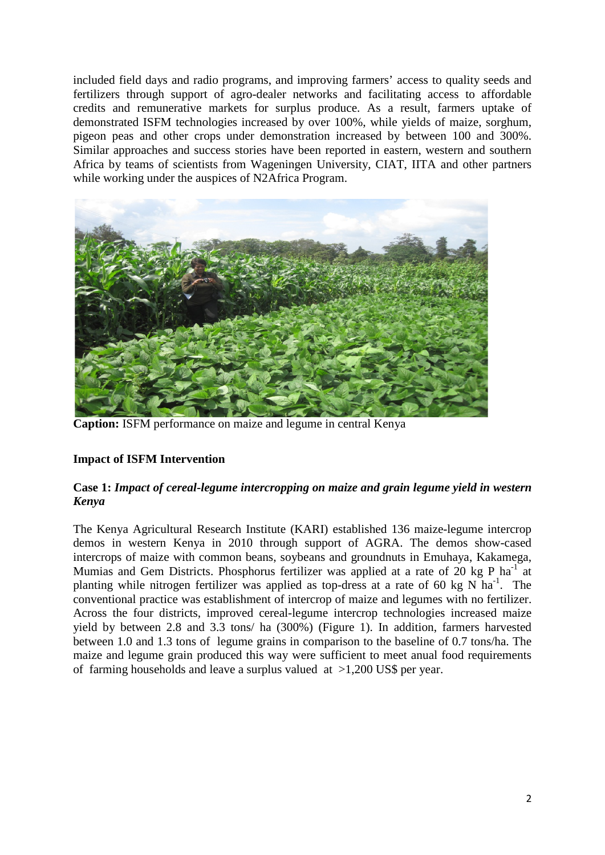included field days and radio programs, and improving farmers' access to quality seeds and fertilizers through support of agro-dealer networks and facilitating access to affordable credits and remunerative markets for surplus produce. As a result, farmers uptake of demonstrated ISFM technologies increased by over 100%, while yields of maize, sorghum, pigeon peas and other crops under demonstration increased by between 100 and 300%. Similar approaches and success stories have been reported in eastern, western and southern Africa by teams of scientists from Wageningen University, CIAT, IITA and other partners while working under the auspices of N2Africa Program.



**Caption:** ISFM performance on maize and legume in central Kenya

# **Impact of ISFM Intervention**

# **Case 1:** *Impact of cereal-legume intercropping on maize and grain legume yield in western Kenya*

The Kenya Agricultural Research Institute (KARI) established 136 maize-legume intercrop demos in western Kenya in 2010 through support of AGRA. The demos show-cased intercrops of maize with common beans, soybeans and groundnuts in Emuhaya, Kakamega, Mumias and Gem Districts. Phosphorus fertilizer was applied at a rate of 20 kg P ha<sup>-1</sup> at planting while nitrogen fertilizer was applied as top-dress at a rate of 60 kg N  $\text{ha}^{-1}$ . The conventional practice was establishment of intercrop of maize and legumes with no fertilizer. Across the four districts, improved cereal-legume intercrop technologies increased maize yield by between 2.8 and 3.3 tons/ ha (300%) (Figure 1). In addition, farmers harvested between 1.0 and 1.3 tons of legume grains in comparison to the baseline of 0.7 tons/ha. The maize and legume grain produced this way were sufficient to meet anual food requirements of farming households and leave a surplus valued at  $>1,200$  US\$ per year.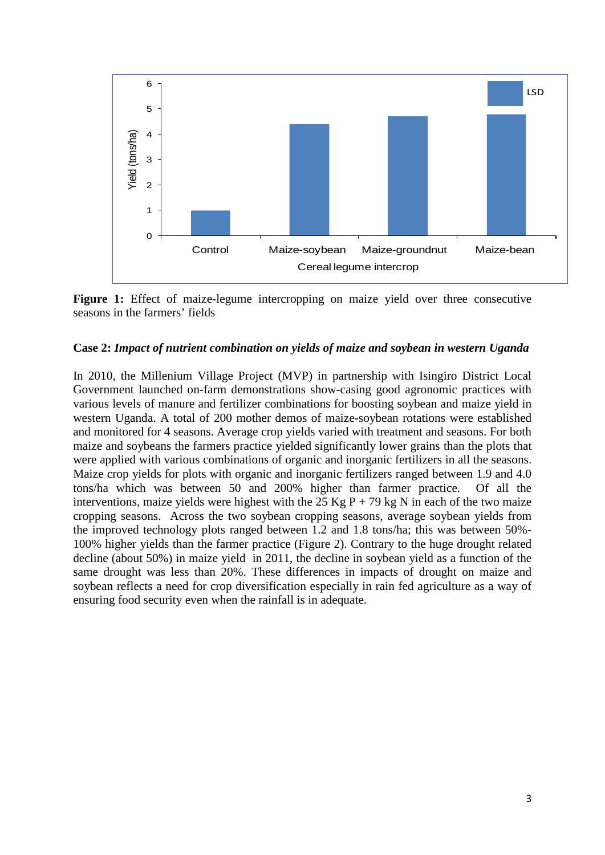

Figure 1: Effect of maize-legume intercropping on maize yield over three consecutive seasons in the farmers' fields

#### **Case 2:** *Impact of nutrient combination on yields of maize and soybean in western Uganda*

In 2010, the Millenium Village Project (MVP) in partnership with Isingiro District Local Government launched on-farm demonstrations show-casing good agronomic practices with various levels of manure and fertilizer combinations for boosting soybean and maize yield in western Uganda. A total of 200 mother demos of maize-soybean rotations were established and monitored for 4 seasons. Average crop yields varied with treatment and seasons. For both maize and soybeans the farmers practice yielded significantly lower grains than the plots that were applied with various combinations of organic and inorganic fertilizers in all the seasons. Maize crop yields for plots with organic and inorganic fertilizers ranged between 1.9 and 4.0 tons/ha which was between 50 and 200% higher than farmer practice. Of all the interventions, maize yields were highest with the 25 Kg P + 79 kg N in each of the two maize cropping seasons. Across the two soybean cropping seasons, average soybean yields from the improved technology plots ranged between 1.2 and 1.8 tons/ha; this was between 50%- 100% higher yields than the farmer practice (Figure 2). Contrary to the huge drought related decline (about 50%) in maize yield in 2011, the decline in soybean yield as a function of the same drought was less than 20%. These differences in impacts of drought on maize and soybean reflects a need for crop diversification especially in rain fed agriculture as a way of ensuring food security even when the rainfall is in adequate.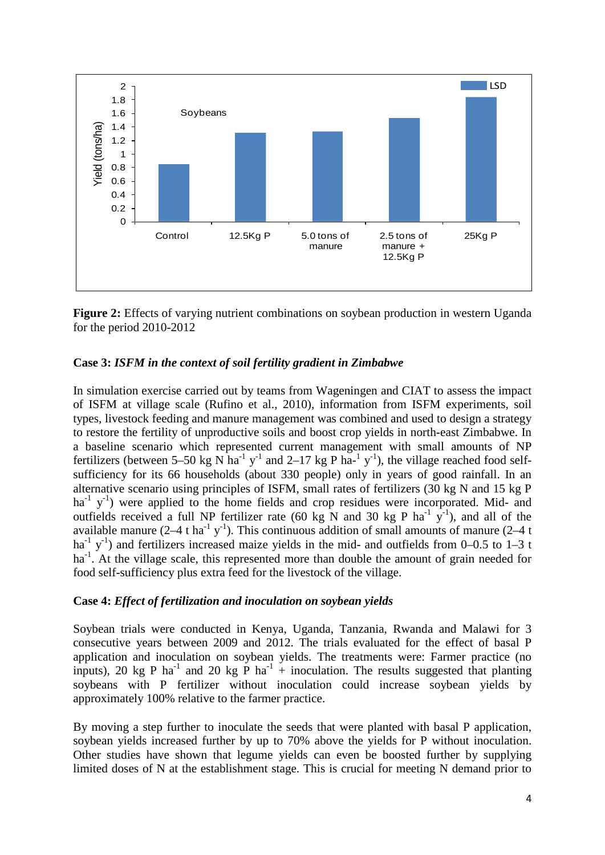

**Figure 2:** Effects of varying nutrient combinations on soybean production in western Uganda for the period 2010-2012

### **Case 3:** *ISFM in the context of soil fertility gradient in Zimbabwe*

In simulation exercise carried out by teams from Wageningen and CIAT to assess the impact of ISFM at village scale (Rufino et al., 2010), information from ISFM experiments, soil types, livestock feeding and manure management was combined and used to design a strategy to restore the fertility of unproductive soils and boost crop yields in north-east Zimbabwe. In a baseline scenario which represented current management with small amounts of NP fertilizers (between 5–50 kg N ha<sup>-1</sup> y<sup>-1</sup> and 2–17 kg P ha<sup>-1</sup> y<sup>-1</sup>), the village reached food selfsufficiency for its 66 households (about 330 people) only in years of good rainfall. In an alternative scenario using principles of ISFM, small rates of fertilizers (30 kg N and 15 kg P ha<sup>-1</sup> y<sup>-1</sup>) were applied to the home fields and crop residues were incorporated. Mid- and outfields received a full NP fertilizer rate (60 kg N and 30 kg P ha<sup>-1</sup>  $y^{-1}$ ), and all of the available manure  $(2-4 \t{ t} \text{ ha}^{-1} \text{ y}^{-1})$ . This continuous addition of small amounts of manure  $(2-4 \t{ t})$ ha<sup>-1</sup> y<sup>-1</sup>) and fertilizers increased maize yields in the mid- and outfields from 0–0.5 to 1–3 t ha<sup>-1</sup>. At the village scale, this represented more than double the amount of grain needed for food self-sufficiency plus extra feed for the livestock of the village.

### **Case 4:** *Effect of fertilization and inoculation on soybean yields*

Soybean trials were conducted in Kenya, Uganda, Tanzania, Rwanda and Malawi for 3 consecutive years between 2009 and 2012. The trials evaluated for the effect of basal P application and inoculation on soybean yields. The treatments were: Farmer practice (no inputs), 20 kg P ha<sup>-1</sup> and 20 kg P ha<sup>-1</sup> + inoculation. The results suggested that planting soybeans with P fertilizer without inoculation could increase soybean yields by approximately 100% relative to the farmer practice.

By moving a step further to inoculate the seeds that were planted with basal P application, soybean yields increased further by up to 70% above the yields for P without inoculation. Other studies have shown that legume yields can even be boosted further by supplying limited doses of N at the establishment stage. This is crucial for meeting N demand prior to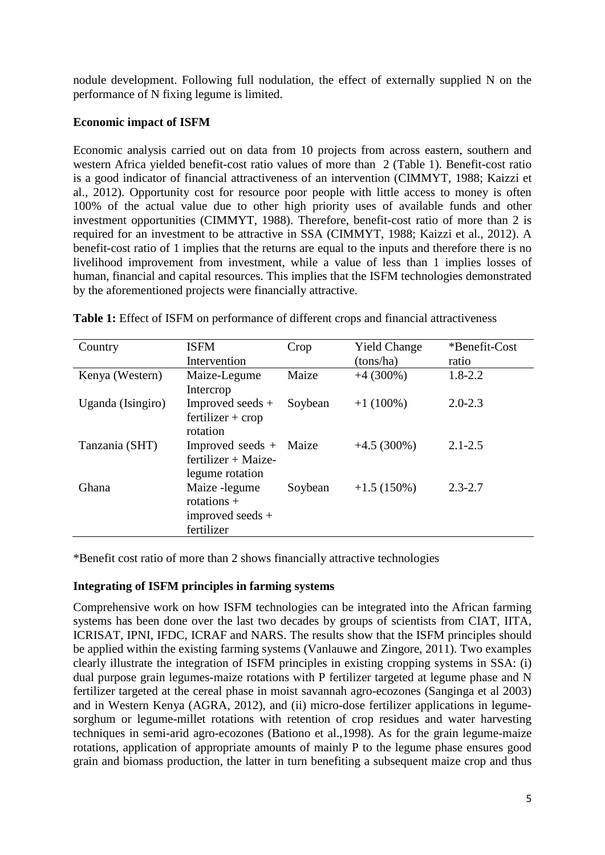nodule development. Following full nodulation, the effect of externally supplied N on the performance of N fixing legume is limited.

# **Economic impact of ISFM**

Economic analysis carried out on data from 10 projects from across eastern, southern and western Africa yielded benefit-cost ratio values of more than 2 (Table 1). Benefit-cost ratio is a good indicator of financial attractiveness of an intervention (CIMMYT, 1988; Kaizzi et al., 2012). Opportunity cost for resource poor people with little access to money is often 100% of the actual value due to other high priority uses of available funds and other investment opportunities (CIMMYT, 1988). Therefore, benefit-cost ratio of more than 2 is required for an investment to be attractive in SSA (CIMMYT, 1988; Kaizzi et al., 2012). A benefit-cost ratio of 1 implies that the returns are equal to the inputs and therefore there is no livelihood improvement from investment, while a value of less than 1 implies losses of human, financial and capital resources. This implies that the ISFM technologies demonstrated by the aforementioned projects were financially attractive.

| Country           | <b>ISFM</b>                                                       | Crop    | <b>Yield Change</b> | *Benefit-Cost |
|-------------------|-------------------------------------------------------------------|---------|---------------------|---------------|
|                   | Intervention                                                      |         | (tons/ha)           | ratio         |
| Kenya (Western)   | Maize-Legume                                                      | Maize   | $+4(300\%)$         | $1.8 - 2.2$   |
| Uganda (Isingiro) | Intercrop<br>Improved seeds +<br>$fertilizer + crop$<br>rotation  | Soybean | $+1(100\%)$         | $2.0 - 2.3$   |
| Tanzania (SHT)    | Improved seeds $+$<br>$fertilizer + Maize-$<br>legume rotation    | Maize   | $+4.5(300\%)$       | $2.1 - 2.5$   |
| Ghana             | Maize - legume<br>rotations $+$<br>improved seeds +<br>fertilizer | Soybean | $+1.5(150\%)$       | $2.3 - 2.7$   |

**Table 1:** Effect of ISFM on performance of different crops and financial attractiveness

\*Benefit cost ratio of more than 2 shows financially attractive technologies

# **Integrating of ISFM principles in farming systems**

Comprehensive work on how ISFM technologies can be integrated into the African farming systems has been done over the last two decades by groups of scientists from CIAT, IITA, ICRISAT, IPNI, IFDC, ICRAF and NARS. The results show that the ISFM principles should be applied within the existing farming systems (Vanlauwe and Zingore, 2011). Two examples clearly illustrate the integration of ISFM principles in existing cropping systems in SSA: (i) dual purpose grain legumes-maize rotations with P fertilizer targeted at legume phase and N fertilizer targeted at the cereal phase in moist savannah agro-ecozones (Sanginga et al 2003) and in Western Kenya (AGRA, 2012), and (ii) micro-dose fertilizer applications in legumesorghum or legume-millet rotations with retention of crop residues and water harvesting techniques in semi-arid agro-ecozones (Bationo et al.,1998). As for the grain legume-maize rotations, application of appropriate amounts of mainly P to the legume phase ensures good grain and biomass production, the latter in turn benefiting a subsequent maize crop and thus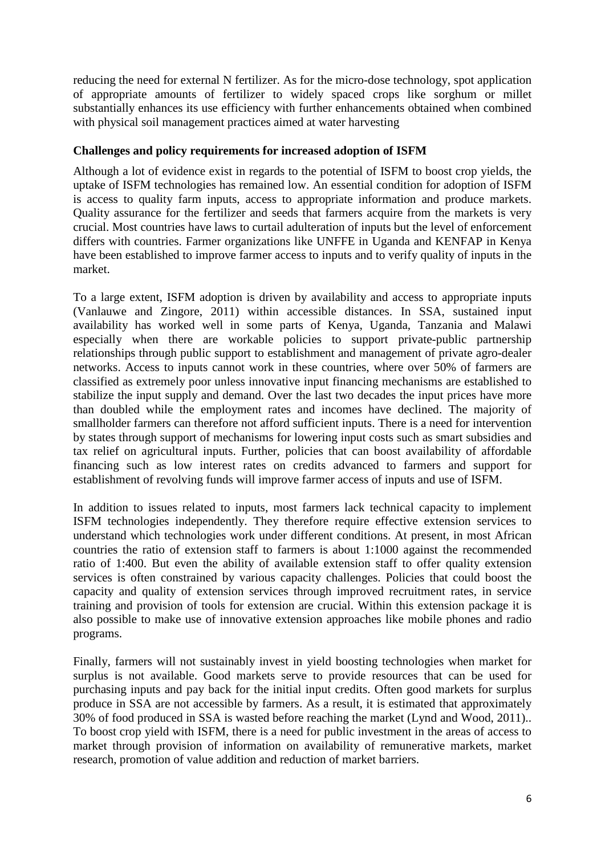reducing the need for external N fertilizer. As for the micro-dose technology, spot application of appropriate amounts of fertilizer to widely spaced crops like sorghum or millet substantially enhances its use efficiency with further enhancements obtained when combined with physical soil management practices aimed at water harvesting

### **Challenges and policy requirements for increased adoption of ISFM**

Although a lot of evidence exist in regards to the potential of ISFM to boost crop yields, the uptake of ISFM technologies has remained low. An essential condition for adoption of ISFM is access to quality farm inputs, access to appropriate information and produce markets. Quality assurance for the fertilizer and seeds that farmers acquire from the markets is very crucial. Most countries have laws to curtail adulteration of inputs but the level of enforcement differs with countries. Farmer organizations like UNFFE in Uganda and KENFAP in Kenya have been established to improve farmer access to inputs and to verify quality of inputs in the market.

To a large extent, ISFM adoption is driven by availability and access to appropriate inputs (Vanlauwe and Zingore, 2011) within accessible distances. In SSA, sustained input availability has worked well in some parts of Kenya, Uganda, Tanzania and Malawi especially when there are workable policies to support private-public partnership relationships through public support to establishment and management of private agro-dealer networks. Access to inputs cannot work in these countries, where over 50% of farmers are classified as extremely poor unless innovative input financing mechanisms are established to stabilize the input supply and demand. Over the last two decades the input prices have more than doubled while the employment rates and incomes have declined. The majority of smallholder farmers can therefore not afford sufficient inputs. There is a need for intervention by states through support of mechanisms for lowering input costs such as smart subsidies and tax relief on agricultural inputs. Further, policies that can boost availability of affordable financing such as low interest rates on credits advanced to farmers and support for establishment of revolving funds will improve farmer access of inputs and use of ISFM.

In addition to issues related to inputs, most farmers lack technical capacity to implement ISFM technologies independently. They therefore require effective extension services to understand which technologies work under different conditions. At present, in most African countries the ratio of extension staff to farmers is about 1:1000 against the recommended ratio of 1:400. But even the ability of available extension staff to offer quality extension services is often constrained by various capacity challenges. Policies that could boost the capacity and quality of extension services through improved recruitment rates, in service training and provision of tools for extension are crucial. Within this extension package it is also possible to make use of innovative extension approaches like mobile phones and radio programs.

Finally, farmers will not sustainably invest in yield boosting technologies when market for surplus is not available. Good markets serve to provide resources that can be used for purchasing inputs and pay back for the initial input credits. Often good markets for surplus produce in SSA are not accessible by farmers. As a result, it is estimated that approximately 30% of food produced in SSA is wasted before reaching the market (Lynd and Wood, 2011).. To boost crop yield with ISFM, there is a need for public investment in the areas of access to market through provision of information on availability of remunerative markets, market research, promotion of value addition and reduction of market barriers.